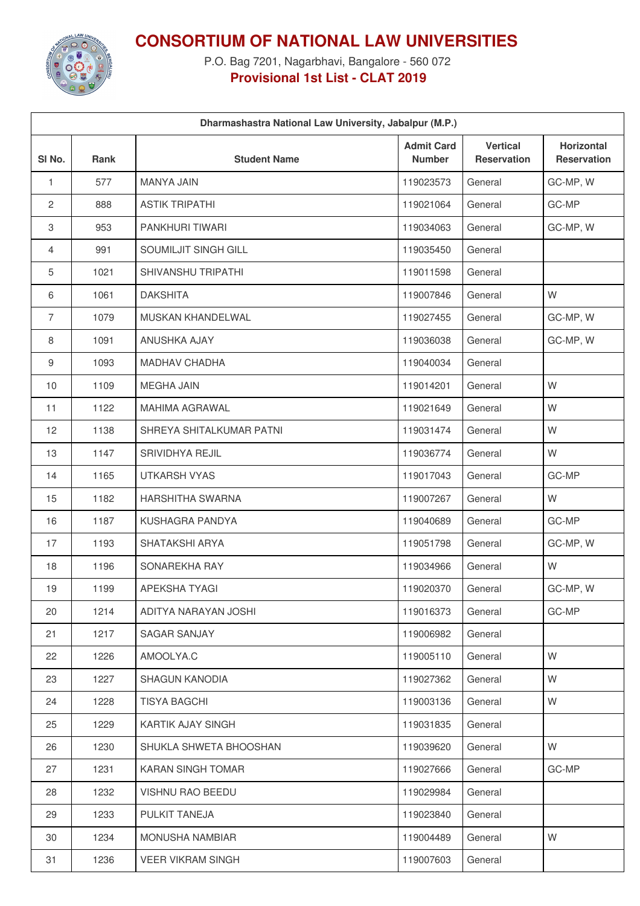

**CONSORTIUM OF NATIONAL LAW UNIVERSITIES**

P.O. Bag 7201, Nagarbhavi, Bangalore - 560 072 **Provisional 1st List - CLAT 2019**

| Dharmashastra National Law University, Jabalpur (M.P.) |      |                           |                                    |                                       |                                         |
|--------------------------------------------------------|------|---------------------------|------------------------------------|---------------------------------------|-----------------------------------------|
| SI No.                                                 | Rank | <b>Student Name</b>       | <b>Admit Card</b><br><b>Number</b> | <b>Vertical</b><br><b>Reservation</b> | <b>Horizontal</b><br><b>Reservation</b> |
| 1                                                      | 577  | <b>MANYA JAIN</b>         | 119023573                          | General                               | GC-MP, W                                |
| $\mathbf{2}$                                           | 888  | <b>ASTIK TRIPATHI</b>     | 119021064                          | General                               | GC-MP                                   |
| 3                                                      | 953  | PANKHURI TIWARI           | 119034063                          | General                               | GC-MP, W                                |
| $\overline{4}$                                         | 991  | SOUMILJIT SINGH GILL      | 119035450                          | General                               |                                         |
| 5                                                      | 1021 | <b>SHIVANSHU TRIPATHI</b> | 119011598                          | General                               |                                         |
| 6                                                      | 1061 | <b>DAKSHITA</b>           | 119007846                          | General                               | W                                       |
| $\overline{7}$                                         | 1079 | MUSKAN KHANDELWAL         | 119027455                          | General                               | GC-MP, W                                |
| 8                                                      | 1091 | ANUSHKA AJAY              | 119036038                          | General                               | GC-MP, W                                |
| 9                                                      | 1093 | <b>MADHAV CHADHA</b>      | 119040034                          | General                               |                                         |
| 10                                                     | 1109 | <b>MEGHA JAIN</b>         | 119014201                          | General                               | W                                       |
| 11                                                     | 1122 | <b>MAHIMA AGRAWAL</b>     | 119021649                          | General                               | W                                       |
| 12                                                     | 1138 | SHREYA SHITALKUMAR PATNI  | 119031474                          | General                               | W                                       |
| 13                                                     | 1147 | SRIVIDHYA REJIL           | 119036774                          | General                               | W                                       |
| 14                                                     | 1165 | <b>UTKARSH VYAS</b>       | 119017043                          | General                               | GC-MP                                   |
| 15                                                     | 1182 | <b>HARSHITHA SWARNA</b>   | 119007267                          | General                               | W                                       |
| 16                                                     | 1187 | KUSHAGRA PANDYA           | 119040689                          | General                               | GC-MP                                   |
| 17                                                     | 1193 | SHATAKSHI ARYA            | 119051798                          | General                               | GC-MP, W                                |
| 18                                                     | 1196 | SONAREKHA RAY             | 119034966                          | General                               | W                                       |
| 19                                                     | 1199 | APEKSHA TYAGI             | 119020370                          | General                               | GC-MP, W                                |
| 20                                                     | 1214 | ADITYA NARAYAN JOSHI      | 119016373                          | General                               | GC-MP                                   |
| 21                                                     | 1217 | <b>SAGAR SANJAY</b>       | 119006982                          | General                               |                                         |
| 22                                                     | 1226 | AMOOLYA.C                 | 119005110                          | General                               | W                                       |
| 23                                                     | 1227 | <b>SHAGUN KANODIA</b>     | 119027362                          | General                               | W                                       |
| 24                                                     | 1228 | <b>TISYA BAGCHI</b>       | 119003136                          | General                               | W                                       |
| 25                                                     | 1229 | KARTIK AJAY SINGH         | 119031835                          | General                               |                                         |
| 26                                                     | 1230 | SHUKLA SHWETA BHOOSHAN    | 119039620                          | General                               | W                                       |
| 27                                                     | 1231 | KARAN SINGH TOMAR         | 119027666                          | General                               | GC-MP                                   |
| 28                                                     | 1232 | VISHNU RAO BEEDU          | 119029984                          | General                               |                                         |
| 29                                                     | 1233 | PULKIT TANEJA             | 119023840                          | General                               |                                         |
| 30                                                     | 1234 | <b>MONUSHA NAMBIAR</b>    | 119004489                          | General                               | W                                       |
| 31                                                     | 1236 | <b>VEER VIKRAM SINGH</b>  | 119007603                          | General                               |                                         |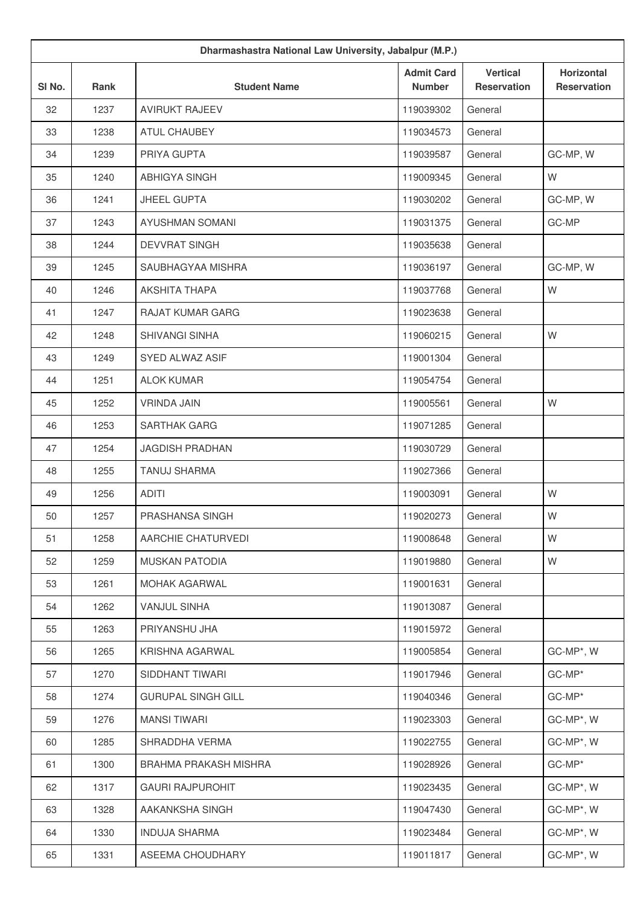| Dharmashastra National Law University, Jabalpur (M.P.) |             |                           |                                    |                                       |                                         |
|--------------------------------------------------------|-------------|---------------------------|------------------------------------|---------------------------------------|-----------------------------------------|
| SI No.                                                 | <b>Rank</b> | <b>Student Name</b>       | <b>Admit Card</b><br><b>Number</b> | <b>Vertical</b><br><b>Reservation</b> | <b>Horizontal</b><br><b>Reservation</b> |
| 32                                                     | 1237        | <b>AVIRUKT RAJEEV</b>     | 119039302                          | General                               |                                         |
| 33                                                     | 1238        | <b>ATUL CHAUBEY</b>       | 119034573                          | General                               |                                         |
| 34                                                     | 1239        | PRIYA GUPTA               | 119039587                          | General                               | GC-MP, W                                |
| 35                                                     | 1240        | <b>ABHIGYA SINGH</b>      | 119009345                          | General                               | W                                       |
| 36                                                     | 1241        | JHEEL GUPTA               | 119030202                          | General                               | GC-MP, W                                |
| 37                                                     | 1243        | <b>AYUSHMAN SOMANI</b>    | 119031375                          | General                               | GC-MP                                   |
| 38                                                     | 1244        | <b>DEVVRAT SINGH</b>      | 119035638                          | General                               |                                         |
| 39                                                     | 1245        | SAUBHAGYAA MISHRA         | 119036197                          | General                               | GC-MP, W                                |
| 40                                                     | 1246        | <b>AKSHITA THAPA</b>      | 119037768                          | General                               | W                                       |
| 41                                                     | 1247        | <b>RAJAT KUMAR GARG</b>   | 119023638                          | General                               |                                         |
| 42                                                     | 1248        | SHIVANGI SINHA            | 119060215                          | General                               | W                                       |
| 43                                                     | 1249        | <b>SYED ALWAZ ASIF</b>    | 119001304                          | General                               |                                         |
| 44                                                     | 1251        | <b>ALOK KUMAR</b>         | 119054754                          | General                               |                                         |
| 45                                                     | 1252        | <b>VRINDA JAIN</b>        | 119005561                          | General                               | W                                       |
| 46                                                     | 1253        | SARTHAK GARG              | 119071285                          | General                               |                                         |
| 47                                                     | 1254        | <b>JAGDISH PRADHAN</b>    | 119030729                          | General                               |                                         |
| 48                                                     | 1255        | <b>TANUJ SHARMA</b>       | 119027366                          | General                               |                                         |
| 49                                                     | 1256        | <b>ADITI</b>              | 119003091                          | General                               | W                                       |
| 50                                                     | 1257        | PRASHANSA SINGH           | 119020273                          | General                               | W                                       |
| 51                                                     | 1258        | AARCHIE CHATURVEDI        | 119008648                          | General                               | W                                       |
| 52                                                     | 1259        | <b>MUSKAN PATODIA</b>     | 119019880                          | General                               | W                                       |
| 53                                                     | 1261        | <b>MOHAK AGARWAL</b>      | 119001631                          | General                               |                                         |
| 54                                                     | 1262        | <b>VANJUL SINHA</b>       | 119013087                          | General                               |                                         |
| 55                                                     | 1263        | PRIYANSHU JHA             | 119015972                          | General                               |                                         |
| 56                                                     | 1265        | KRISHNA AGARWAL           | 119005854                          | General                               | GC-MP*, W                               |
| 57                                                     | 1270        | SIDDHANT TIWARI           | 119017946                          | General                               | GC-MP*                                  |
| 58                                                     | 1274        | <b>GURUPAL SINGH GILL</b> | 119040346                          | General                               | GC-MP*                                  |
| 59                                                     | 1276        | <b>MANSI TIWARI</b>       | 119023303                          | General                               | GC-MP*, W                               |
| 60                                                     | 1285        | SHRADDHA VERMA            | 119022755                          | General                               | GC-MP*, W                               |
| 61                                                     | 1300        | BRAHMA PRAKASH MISHRA     | 119028926                          | General                               | GC-MP*                                  |
| 62                                                     | 1317        | <b>GAURI RAJPUROHIT</b>   | 119023435                          | General                               | GC-MP*, W                               |
| 63                                                     | 1328        | AAKANKSHA SINGH           | 119047430                          | General                               | GC-MP*, W                               |
| 64                                                     | 1330        | <b>INDUJA SHARMA</b>      | 119023484                          | General                               | GC-MP*, W                               |
| 65                                                     | 1331        | ASEEMA CHOUDHARY          | 119011817                          | General                               | GC-MP*, W                               |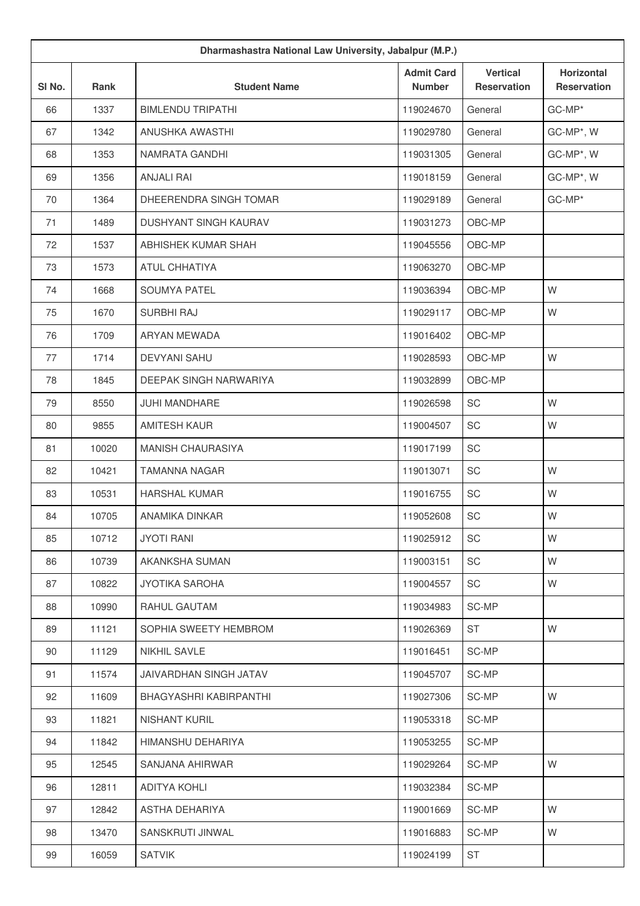| Dharmashastra National Law University, Jabalpur (M.P.) |       |                              |                                    |                                       |                                         |
|--------------------------------------------------------|-------|------------------------------|------------------------------------|---------------------------------------|-----------------------------------------|
| SI No.                                                 | Rank  | <b>Student Name</b>          | <b>Admit Card</b><br><b>Number</b> | <b>Vertical</b><br><b>Reservation</b> | <b>Horizontal</b><br><b>Reservation</b> |
| 66                                                     | 1337  | <b>BIMLENDU TRIPATHI</b>     | 119024670                          | General                               | GC-MP*                                  |
| 67                                                     | 1342  | ANUSHKA AWASTHI              | 119029780                          | General                               | GC-MP*, W                               |
| 68                                                     | 1353  | NAMRATA GANDHI               | 119031305                          | General                               | GC-MP*, W                               |
| 69                                                     | 1356  | <b>ANJALI RAI</b>            | 119018159                          | General                               | GC-MP*, W                               |
| 70                                                     | 1364  | DHEERENDRA SINGH TOMAR       | 119029189                          | General                               | GC-MP*                                  |
| 71                                                     | 1489  | <b>DUSHYANT SINGH KAURAV</b> | 119031273                          | OBC-MP                                |                                         |
| 72                                                     | 1537  | ABHISHEK KUMAR SHAH          | 119045556                          | OBC-MP                                |                                         |
| 73                                                     | 1573  | <b>ATUL CHHATIYA</b>         | 119063270                          | OBC-MP                                |                                         |
| 74                                                     | 1668  | SOUMYA PATEL                 | 119036394                          | OBC-MP                                | W                                       |
| 75                                                     | 1670  | <b>SURBHI RAJ</b>            | 119029117                          | OBC-MP                                | W                                       |
| 76                                                     | 1709  | ARYAN MEWADA                 | 119016402                          | OBC-MP                                |                                         |
| 77                                                     | 1714  | <b>DEVYANI SAHU</b>          | 119028593                          | OBC-MP                                | W                                       |
| 78                                                     | 1845  | DEEPAK SINGH NARWARIYA       | 119032899                          | OBC-MP                                |                                         |
| 79                                                     | 8550  | <b>JUHI MANDHARE</b>         | 119026598                          | SC                                    | W                                       |
| 80                                                     | 9855  | <b>AMITESH KAUR</b>          | 119004507                          | SC                                    | W                                       |
| 81                                                     | 10020 | MANISH CHAURASIYA            | 119017199                          | SC                                    |                                         |
| 82                                                     | 10421 | <b>TAMANNA NAGAR</b>         | 119013071                          | SC                                    | W                                       |
| 83                                                     | 10531 | <b>HARSHAL KUMAR</b>         | 119016755                          | SC                                    | W                                       |
| 84                                                     | 10705 | <b>ANAMIKA DINKAR</b>        | 119052608                          | SC                                    | W                                       |
| 85                                                     | 10712 | <b>JYOTI RANI</b>            | 119025912                          | SC                                    | W                                       |
| 86                                                     | 10739 | AKANKSHA SUMAN               | 119003151                          | SC                                    | W                                       |
| 87                                                     | 10822 | <b>JYOTIKA SAROHA</b>        | 119004557                          | SC                                    | W                                       |
| 88                                                     | 10990 | RAHUL GAUTAM                 | 119034983                          | SC-MP                                 |                                         |
| 89                                                     | 11121 | SOPHIA SWEETY HEMBROM        | 119026369                          | ST                                    | W                                       |
| 90                                                     | 11129 | <b>NIKHIL SAVLE</b>          | 119016451                          | SC-MP                                 |                                         |
| 91                                                     | 11574 | JAIVARDHAN SINGH JATAV       | 119045707                          | SC-MP                                 |                                         |
| 92                                                     | 11609 | BHAGYASHRI KABIRPANTHI       | 119027306                          | SC-MP                                 | W                                       |
| 93                                                     | 11821 | NISHANT KURIL                | 119053318                          | SC-MP                                 |                                         |
| 94                                                     | 11842 | HIMANSHU DEHARIYA            | 119053255                          | SC-MP                                 |                                         |
| 95                                                     | 12545 | SANJANA AHIRWAR              | 119029264                          | SC-MP                                 | W                                       |
| 96                                                     | 12811 | ADITYA KOHLI                 | 119032384                          | SC-MP                                 |                                         |
| 97                                                     | 12842 | ASTHA DEHARIYA               | 119001669                          | SC-MP                                 | W                                       |
| 98                                                     | 13470 | SANSKRUTI JINWAL             | 119016883                          | SC-MP                                 | W                                       |
| 99                                                     | 16059 | <b>SATVIK</b>                | 119024199                          | <b>ST</b>                             |                                         |